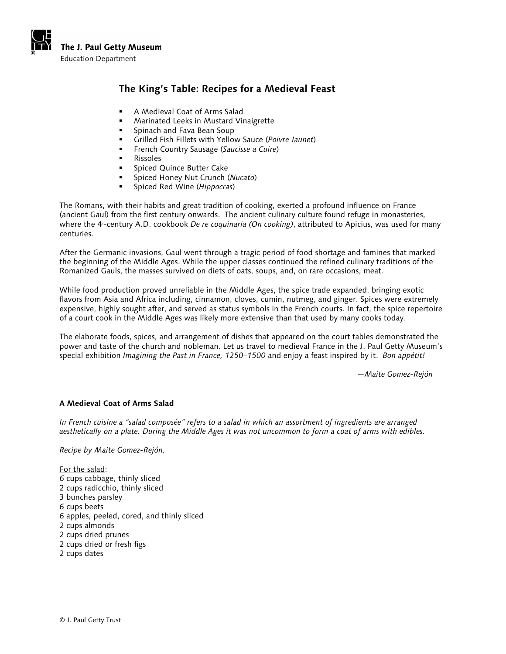

# **The King's Table: Recipes for a Medieval Feast**

- A Medieval Coat of Arms Salad
- Marinated Leeks in Mustard Vinaigrette
- **Spinach and Fava Bean Soup**
- Grilled Fish Fillets with Yellow Sauce (*Poivre Jaunet*)
- French Country Sausage (*Saucisse a Cuire*)
- Rissoles
- Spiced Quince Butter Cake
- Spiced Honey Nut Crunch (*Nucato*)
- Spiced Red Wine (*Hippocras*)

The Romans, with their habits and great tradition of cooking, exerted a profound influence on France (ancient Gaul) from the first century onwards. The ancient culinary culture found refuge in monasteries, where the 4-century A.D. cookbook *De re coquinaria (On cooking)*, attributed to Apicius, was used for many centuries.

After the Germanic invasions, Gaul went through a tragic period of food shortage and famines that marked the beginning of the Middle Ages. While the upper classes continued the refined culinary traditions of the Romanized Gauls, the masses survived on diets of oats, soups, and, on rare occasions, meat.

While food production proved unreliable in the Middle Ages, the spice trade expanded, bringing exotic flavors from Asia and Africa including, cinnamon, cloves, cumin, nutmeg, and ginger. Spices were extremely expensive, highly sought after, and served as status symbols in the French courts. In fact, the spice repertoire of a court cook in the Middle Ages was likely more extensive than that used by many cooks today.

The elaborate foods, spices, and arrangement of dishes that appeared on the court tables demonstrated the power and taste of the church and nobleman. Let us travel to medieval France in the J. Paul Getty Museum's special exhibition *Imagining the Past in France, 1250–1500* and enjoy a feast inspired by it. *Bon appétit!* 

—*Maite Gomez-Rejón*

## **A Medieval Coat of Arms Salad**

*In French cuisine a "salad composée" refers to a salad in which an assortment of ingredients are arranged aesthetically on a plate. During the Middle Ages it was not uncommon to form a coat of arms with edibles.*

*Recipe by Maite Gomez-Rejón.* 

For the salad: 6 cups cabbage, thinly sliced 2 cups radicchio, thinly sliced 3 bunches parsley 6 cups beets 6 apples, peeled, cored, and thinly sliced 2 cups almonds 2 cups dried prunes 2 cups dried or fresh figs 2 cups dates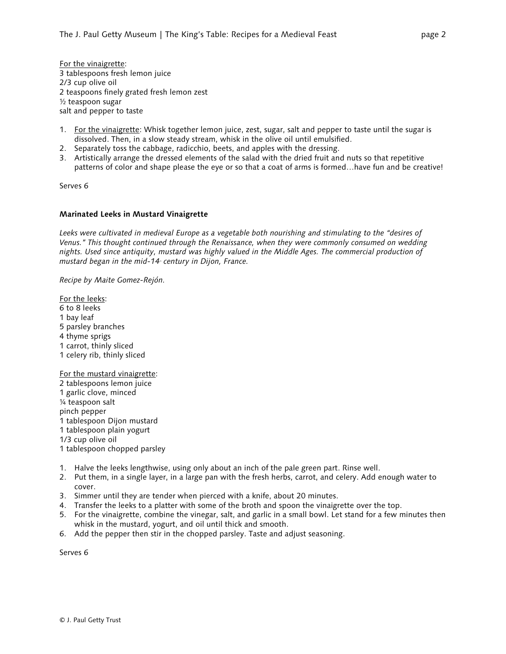For the vinaigrette: 3 tablespoons fresh lemon juice 2/3 cup olive oil 2 teaspoons finely grated fresh lemon zest ½ teaspoon sugar salt and pepper to taste

- 1. For the vinaigrette: Whisk together lemon juice, zest, sugar, salt and pepper to taste until the sugar is dissolved. Then, in a slow steady stream, whisk in the olive oil until emulsified.
- 2. Separately toss the cabbage, radicchio, beets, and apples with the dressing.
- 3. Artistically arrange the dressed elements of the salad with the dried fruit and nuts so that repetitive patterns of color and shape please the eye or so that a coat of arms is formed…have fun and be creative!

Serves 6

## **Marinated Leeks in Mustard Vinaigrette**

*Leeks were cultivated in medieval Europe as a vegetable both nourishing and stimulating to the "desires of Venus." This thought continued through the Renaissance, when they were commonly consumed on wedding nights. Used since antiquity, mustard was highly valued in the Middle Ages. The commercial production of mustard began in the mid-14 century in Dijon, France.* 

*Recipe by Maite Gomez-Rejón.*

For the leeks: 6 to 8 leeks 1 bay leaf 5 parsley branches 4 thyme sprigs 1 carrot, thinly sliced 1 celery rib, thinly sliced For the mustard vinaigrette:

2 tablespoons lemon juice 1 garlic clove, minced ¼ teaspoon salt pinch pepper 1 tablespoon Dijon mustard 1 tablespoon plain yogurt 1/3 cup olive oil 1 tablespoon chopped parsley

- 1. Halve the leeks lengthwise, using only about an inch of the pale green part. Rinse well.
- 2. Put them, in a single layer, in a large pan with the fresh herbs, carrot, and celery. Add enough water to cover.
- 3. Simmer until they are tender when pierced with a knife, about 20 minutes.
- 4. Transfer the leeks to a platter with some of the broth and spoon the vinaigrette over the top.
- 5. For the vinaigrette, combine the vinegar, salt, and garlic in a small bowl. Let stand for a few minutes then whisk in the mustard, yogurt, and oil until thick and smooth.
- 6. Add the pepper then stir in the chopped parsley. Taste and adjust seasoning.

Serves 6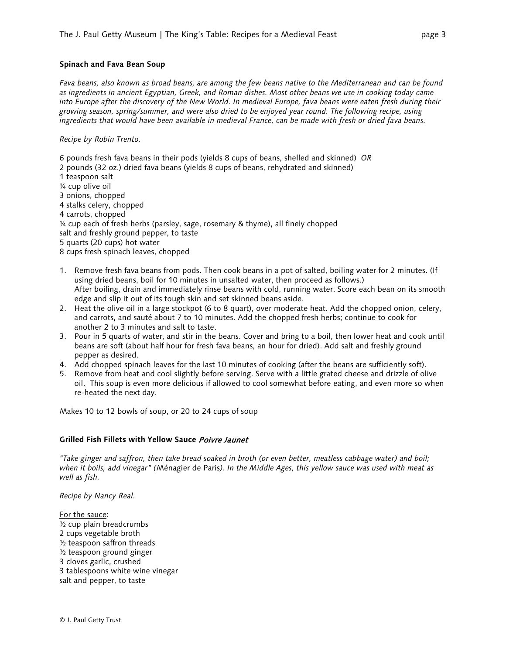#### **Spinach and Fava Bean Soup**

*Fava beans, also known as broad beans, are among the few beans native to the Mediterranean and can be found as ingredients in ancient Egyptian, Greek, and Roman dishes. Most other beans we use in cooking today came into Europe after the discovery of the New World. In medieval Europe, fava beans were eaten fresh during their growing season, spring/summer, and were also dried to be enjoyed year round. The following recipe, using ingredients that would have been available in medieval France, can be made with fresh or dried fava beans.*

#### *Recipe by Robin Trento.*

6 pounds fresh fava beans in their pods (yields 8 cups of beans, shelled and skinned)*OR* 2 pounds (32 oz.) dried fava beans (yields 8 cups of beans, rehydrated and skinned) 1 teaspoon salt ¼ cup olive oil 3 onions, chopped 4 stalks celery, chopped 4 carrots, chopped ¼ cup each of fresh herbs (parsley, sage, rosemary & thyme), all finely chopped salt and freshly ground pepper, to taste 5 quarts (20 cups) hot water 8 cups fresh spinach leaves, chopped

- 1. Remove fresh fava beans from pods. Then cook beans in a pot of salted, boiling water for 2 minutes. (If using dried beans, boil for 10 minutes in unsalted water, then proceed as follows.) After boiling, drain and immediately rinse beans with cold, running water. Score each bean on its smooth edge and slip it out of its tough skin and set skinned beans aside.
- 2. Heat the olive oil in a large stockpot (6 to 8 quart), over moderate heat. Add the chopped onion, celery, and carrots, and sauté about 7 to 10 minutes. Add the chopped fresh herbs; continue to cook for another 2 to 3 minutes and salt to taste.
- 3. Pour in 5 quarts of water, and stir in the beans. Cover and bring to a boil, then lower heat and cook until beans are soft (about half hour for fresh fava beans, an hour for dried). Add salt and freshly ground pepper as desired.
- 4. Add chopped spinach leaves for the last 10 minutes of cooking (after the beans are sufficiently soft).
- 5. Remove from heat and cool slightly before serving. Serve with a little grated cheese and drizzle of olive oil. This soup is even more delicious if allowed to cool somewhat before eating, and even more so when re-heated the next day.

Makes 10 to 12 bowls of soup, or 20 to 24 cups of soup

## **Grilled Fish Fillets with Yellow Sauce** Poivre Jaunet

*"Take ginger and saffron, then take bread soaked in broth (or even better, meatless cabbage water) and boil; when it boils, add vinegar" (*Ménagier de Paris*). In the Middle Ages, this yellow sauce was used with meat as well as fish.*

*Recipe by Nancy Real.*

For the sauce:  $\frac{1}{2}$  cup plain breadcrumbs 2 cups vegetable broth ½ teaspoon saffron threads ½ teaspoon ground ginger 3 cloves garlic, crushed 3 tablespoons white wine vinegar salt and pepper, to taste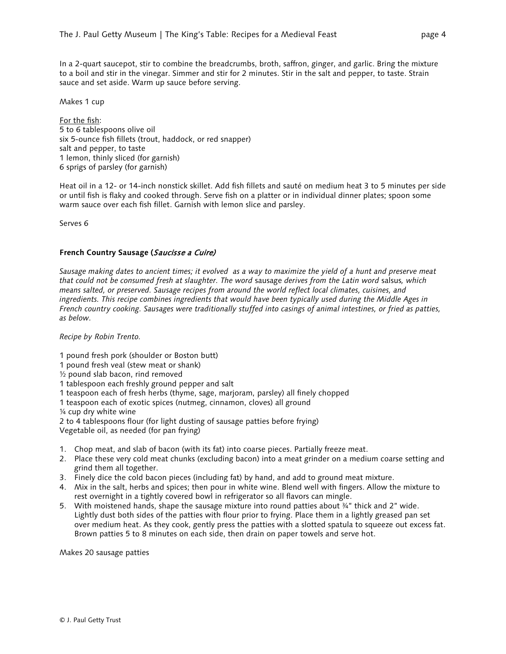In a 2-quart saucepot, stir to combine the breadcrumbs, broth, saffron, ginger, and garlic. Bring the mixture to a boil and stir in the vinegar. Simmer and stir for 2 minutes. Stir in the salt and pepper, to taste. Strain sauce and set aside. Warm up sauce before serving.

Makes 1 cup

For the fish: 5 to 6 tablespoons olive oil six 5-ounce fish fillets (trout, haddock, or red snapper) salt and pepper, to taste 1 lemon, thinly sliced (for garnish) 6 sprigs of parsley (for garnish)

Heat oil in a 12- or 14-inch nonstick skillet. Add fish fillets and sauté on medium heat 3 to 5 minutes per side or until fish is flaky and cooked through. Serve fish on a platter or in individual dinner plates; spoon some warm sauce over each fish fillet. Garnish with lemon slice and parsley.

Serves 6

## **French Country Sausage (**Saucisse a Cuire)

*Sausage making dates to ancient times; it evolved as a way to maximize the yield of a hunt and preserve meat that could not be consumed fresh at slaughter. The word* sausage *derives from the Latin word* salsus*, which means salted, or preserved. Sausage recipes from around the world reflect local climates, cuisines, and ingredients. This recipe combines ingredients that would have been typically used during the Middle Ages in French country cooking. Sausages were traditionally stuffed into casings of animal intestines, or fried as patties, as below.*

*Recipe by Robin Trento.*

1 pound fresh pork (shoulder or Boston butt)

1 pound fresh veal (stew meat or shank)

 $\frac{1}{2}$  pound slab bacon, rind removed

- 1 tablespoon each freshly ground pepper and salt
- 1 teaspoon each of fresh herbs (thyme, sage, marjoram, parsley) all finely chopped
- 1 teaspoon each of exotic spices (nutmeg, cinnamon, cloves) all ground

¼ cup dry white wine

2 to 4 tablespoons flour (for light dusting of sausage patties before frying)

Vegetable oil, as needed (for pan frying)

- 1. Chop meat, and slab of bacon (with its fat) into coarse pieces. Partially freeze meat.
- 2. Place these very cold meat chunks (excluding bacon) into a meat grinder on a medium coarse setting and grind them all together.
- 3. Finely dice the cold bacon pieces (including fat) by hand, and add to ground meat mixture.
- 4. Mix in the salt, herbs and spices; then pour in white wine. Blend well with fingers. Allow the mixture to rest overnight in a tightly covered bowl in refrigerator so all flavors can mingle.
- 5. With moistened hands, shape the sausage mixture into round patties about 34" thick and 2" wide. Lightly dust both sides of the patties with flour prior to frying. Place them in a lightly greased pan set over medium heat. As they cook, gently press the patties with a slotted spatula to squeeze out excess fat. Brown patties 5 to 8 minutes on each side, then drain on paper towels and serve hot.

Makes 20 sausage patties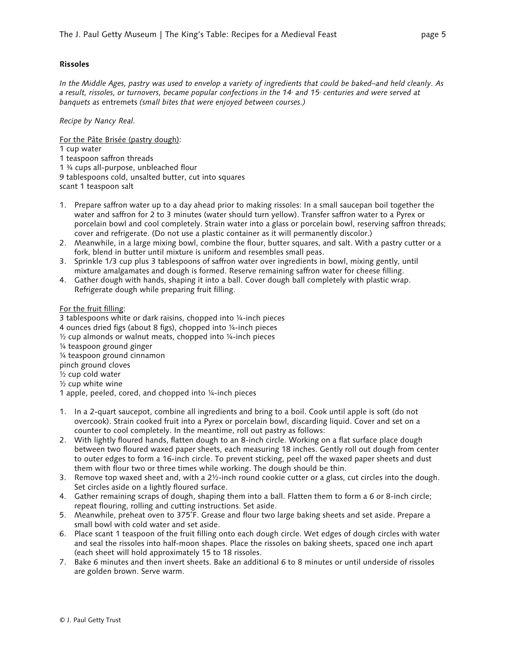# **Rissoles**

*In the Middle Ages, pastry was used to envelop a variety of ingredients that could be baked–and held cleanly. As*  a result, rissoles, or turnovers, became popular confections in the 14<sup>th</sup> and 15<sup>th</sup> centuries and were served at *banquets as* entremets *(small bites that were enjoyed between courses.)*

# *Recipe by Nancy Real.*

For the Pâte Brisée (pastry dough):

- 1 cup water
- 1 teaspoon saffron threads
- 1 ¾ cups all-purpose, unbleached flour

9 tablespoons cold, unsalted butter, cut into squares

- scant 1 teaspoon salt
- 1. Prepare saffron water up to a day ahead prior to making rissoles: In a small saucepan boil together the water and saffron for 2 to 3 minutes (water should turn yellow). Transfer saffron water to a Pyrex or porcelain bowl and cool completely. Strain water into a glass or porcelain bowl, reserving saffron threads; cover and refrigerate. (Do not use a plastic container as it will permanently discolor.)
- 2. Meanwhile, in a large mixing bowl, combine the flour, butter squares, and salt. With a pastry cutter or a fork, blend in butter until mixture is uniform and resembles small peas.
- 3. Sprinkle 1/3 cup plus 3 tablespoons of saffron water over ingredients in bowl, mixing gently, until mixture amalgamates and dough is formed. Reserve remaining saffron water for cheese filling.
- 4. Gather dough with hands, shaping it into a ball. Cover dough ball completely with plastic wrap. Refrigerate dough while preparing fruit filling.

# For the fruit filling:

- 3 tablespoons white or dark raisins, chopped into ¼-inch pieces
- 4 ounces dried figs (about 8 figs), chopped into ¼-inch pieces
- ½ cup almonds or walnut meats, chopped into ¼-inch pieces
- ¼ teaspoon ground ginger
- ¼ teaspoon ground cinnamon
- pinch ground cloves
- ½ cup cold water
- ½ cup white wine
- 1 apple, peeled, cored, and chopped into ¼-inch pieces
- 1. In a 2-quart saucepot, combine all ingredients and bring to a boil. Cook until apple is soft (do not overcook). Strain cooked fruit into a Pyrex or porcelain bowl, discarding liquid. Cover and set on a counter to cool completely. In the meantime, roll out pastry as follows:
- 2. With lightly floured hands, flatten dough to an 8-inch circle. Working on a flat surface place dough between two floured waxed paper sheets, each measuring 18 inches. Gently roll out dough from center to outer edges to form a 16-inch circle. To prevent sticking, peel off the waxed paper sheets and dust them with flour two or three times while working. The dough should be thin.
- 3. Remove top waxed sheet and, with a 2½-inch round cookie cutter or a glass, cut circles into the dough. Set circles aside on a lightly floured surface.
- 4. Gather remaining scraps of dough, shaping them into a ball. Flatten them to form a 6 or 8-inch circle; repeat flouring, rolling and cutting instructions. Set aside.
- 5. Meanwhile, preheat oven to 375˚F. Grease and flour two large baking sheets and set aside. Prepare a small bowl with cold water and set aside.
- 6. Place scant 1 teaspoon of the fruit filling onto each dough circle. Wet edges of dough circles with water and seal the rissoles into half-moon shapes. Place the rissoles on baking sheets, spaced one inch apart (each sheet will hold approximately 15 to 18 rissoles.
- 7. Bake 6 minutes and then invert sheets. Bake an additional 6 to 8 minutes or until underside of rissoles are golden brown. Serve warm.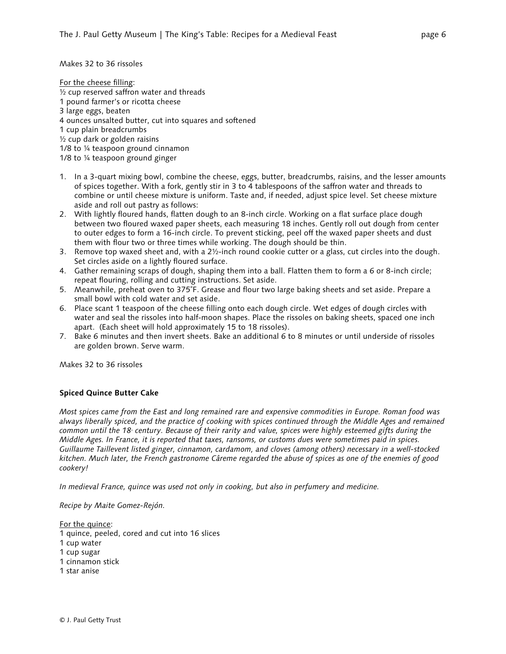Makes 32 to 36 rissoles

For the cheese filling: ½ cup reserved saffron water and threads 1 pound farmer's or ricotta cheese 3 large eggs, beaten 4 ounces unsalted butter, cut into squares and softened 1 cup plain breadcrumbs ½ cup dark or golden raisins 1/8 to ¼ teaspoon ground cinnamon 1/8 to ¼ teaspoon ground ginger

- 1. In a 3-quart mixing bowl, combine the cheese, eggs, butter, breadcrumbs, raisins, and the lesser amounts of spices together. With a fork, gently stir in 3 to 4 tablespoons of the saffron water and threads to combine or until cheese mixture is uniform. Taste and, if needed, adjust spice level. Set cheese mixture aside and roll out pastry as follows:
- 2. With lightly floured hands, flatten dough to an 8-inch circle. Working on a flat surface place dough between two floured waxed paper sheets, each measuring 18 inches. Gently roll out dough from center to outer edges to form a 16-inch circle. To prevent sticking, peel off the waxed paper sheets and dust them with flour two or three times while working. The dough should be thin.
- 3. Remove top waxed sheet and, with a 2½-inch round cookie cutter or a glass, cut circles into the dough. Set circles aside on a lightly floured surface.
- 4. Gather remaining scraps of dough, shaping them into a ball. Flatten them to form a 6 or 8-inch circle; repeat flouring, rolling and cutting instructions. Set aside.
- 5. Meanwhile, preheat oven to 375˚F. Grease and flour two large baking sheets and set aside. Prepare a small bowl with cold water and set aside.
- 6. Place scant 1 teaspoon of the cheese filling onto each dough circle. Wet edges of dough circles with water and seal the rissoles into half-moon shapes. Place the rissoles on baking sheets, spaced one inch apart. (Each sheet will hold approximately 15 to 18 rissoles).
- 7. Bake 6 minutes and then invert sheets. Bake an additional 6 to 8 minutes or until underside of rissoles are golden brown. Serve warm.

Makes 32 to 36 rissoles

# **Spiced Quince Butter Cake**

*Most spices came from the East and long remained rare and expensive commodities in Europe. Roman food was always liberally spiced, and the practice of cooking with spices continued through the Middle Ages and remained common until the 18<sup><i>f*</sup> century. Because of their rarity and value, spices were highly esteemed gifts during the *Middle Ages. In France, it is reported that taxes, ransoms, or customs dues were sometimes paid in spices. Guillaume Taillevent listed ginger, cinnamon, cardamom, and cloves (among others) necessary in a well-stocked kitchen. Much later, the French gastronome Câreme regarded the abuse of spices as one of the enemies of good cookery!*

*In medieval France, quince was used not only in cooking, but also in perfumery and medicine.*

*Recipe by Maite Gomez-Rejón.*

For the quince:

- 1 quince, peeled, cored and cut into 16 slices
- 1 cup water
- 1 cup sugar
- 1 cinnamon stick
- 1 star anise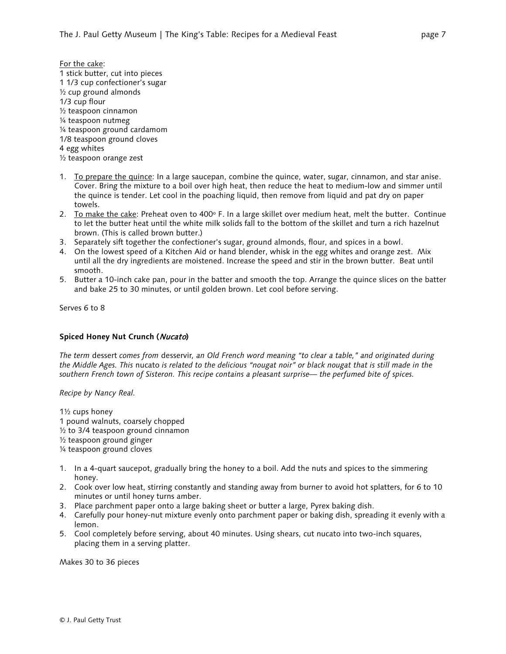- For the cake: 1 stick butter, cut into pieces 1 1/3 cup confectioner's sugar ½ cup ground almonds 1/3 cup flour ½ teaspoon cinnamon ¼ teaspoon nutmeg ¼ teaspoon ground cardamom 1/8 teaspoon ground cloves 4 egg whites ½ teaspoon orange zest
- 1. To prepare the quince: In a large saucepan, combine the quince, water, sugar, cinnamon, and star anise. Cover. Bring the mixture to a boil over high heat, then reduce the heat to medium-low and simmer until the quince is tender. Let cool in the poaching liquid, then remove from liquid and pat dry on paper towels.
- 2. To make the cake: Preheat oven to 400° F. In a large skillet over medium heat, melt the butter. Continue to let the butter heat until the white milk solids fall to the bottom of the skillet and turn a rich hazelnut brown. (This is called brown butter.)
- 3. Separately sift together the confectioner's sugar, ground almonds, flour, and spices in a bowl.
- 4. On the lowest speed of a Kitchen Aid or hand blender, whisk in the egg whites and orange zest. Mix until all the dry ingredients are moistened. Increase the speed and stir in the brown butter. Beat until smooth.
- 5. Butter a 10-inch cake pan, pour in the batter and smooth the top. Arrange the quince slices on the batter and bake 25 to 30 minutes, or until golden brown. Let cool before serving.

Serves 6 to 8

## **Spiced Honey Nut Crunch (**Nucato**)**

*The term* [dessert](http://en.wikipedia.org/wiki/Dessert) *comes from* desservir*, an Old French word meaning "to clear a table," and originated during the Middle Ages. This* nucato *is related to the delicious "nougat noir" or black nougat that is still made in the southern French town of Sisteron. This recipe contains a pleasant surprise— the perfumed bite of spices.*

*Recipe by Nancy Real.* 

1½ cups honey 1 pound walnuts, coarsely chopped ½ to 3/4 teaspoon ground cinnamon ½ teaspoon ground ginger ¼ teaspoon ground cloves

- 1. In a 4-quart saucepot, gradually bring the honey to a boil. Add the nuts and spices to the simmering honey.
- 2. Cook over low heat, stirring constantly and standing away from burner to avoid hot splatters, for 6 to 10 minutes or until honey turns amber.
- 3. Place parchment paper onto a large baking sheet or butter a large, Pyrex baking dish.
- 4. Carefully pour honey-nut mixture evenly onto parchment paper or baking dish, spreading it evenly with a lemon.
- 5. Cool completely before serving, about 40 minutes. Using shears, cut nucato into two-inch squares, placing them in a serving platter.

Makes 30 to 36 pieces